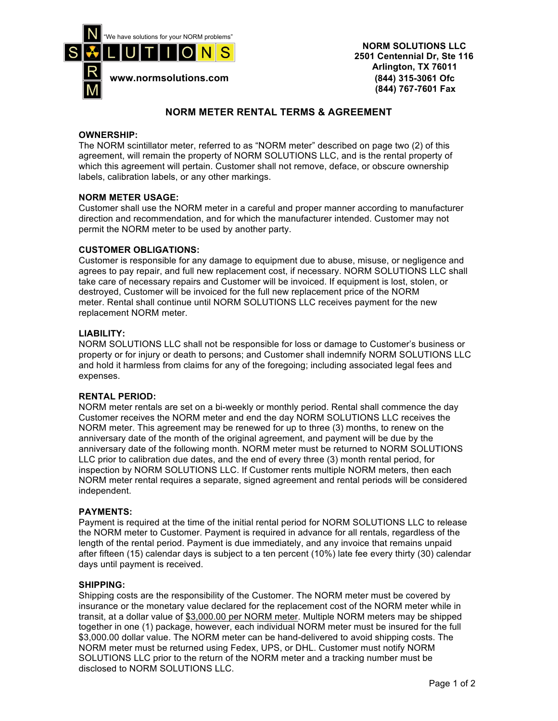

 **NORM SOLUTIONS LLC 2501 Centennial Dr, Ste 116 Arlington, TX 76011 (844) 767-7601 Fax**

# **NORM METER RENTAL TERMS & AGREEMENT**

## **OWNERSHIP:**

The NORM scintillator meter, referred to as "NORM meter" described on page two (2) of this agreement, will remain the property of NORM SOLUTIONS LLC, and is the rental property of which this agreement will pertain. Customer shall not remove, deface, or obscure ownership labels, calibration labels, or any other markings.

## **NORM METER USAGE:**

Customer shall use the NORM meter in a careful and proper manner according to manufacturer direction and recommendation, and for which the manufacturer intended. Customer may not permit the NORM meter to be used by another party.

## **CUSTOMER OBLIGATIONS:**

Customer is responsible for any damage to equipment due to abuse, misuse, or negligence and agrees to pay repair, and full new replacement cost, if necessary. NORM SOLUTIONS LLC shall take care of necessary repairs and Customer will be invoiced. If equipment is lost, stolen, or destroyed, Customer will be invoiced for the full new replacement price of the NORM meter. Rental shall continue until NORM SOLUTIONS LLC receives payment for the new replacement NORM meter.

## **LIABILITY:**

NORM SOLUTIONS LLC shall not be responsible for loss or damage to Customer's business or property or for injury or death to persons; and Customer shall indemnify NORM SOLUTIONS LLC and hold it harmless from claims for any of the foregoing; including associated legal fees and expenses.

#### **RENTAL PERIOD:**

NORM meter rentals are set on a bi-weekly or monthly period. Rental shall commence the day Customer receives the NORM meter and end the day NORM SOLUTIONS LLC receives the NORM meter. This agreement may be renewed for up to three (3) months, to renew on the anniversary date of the month of the original agreement, and payment will be due by the anniversary date of the following month. NORM meter must be returned to NORM SOLUTIONS LLC prior to calibration due dates, and the end of every three (3) month rental period, for inspection by NORM SOLUTIONS LLC. If Customer rents multiple NORM meters, then each NORM meter rental requires a separate, signed agreement and rental periods will be considered independent.

#### **PAYMENTS:**

Payment is required at the time of the initial rental period for NORM SOLUTIONS LLC to release the NORM meter to Customer. Payment is required in advance for all rentals, regardless of the length of the rental period. Payment is due immediately, and any invoice that remains unpaid after fifteen (15) calendar days is subject to a ten percent (10%) late fee every thirty (30) calendar days until payment is received.

#### **SHIPPING:**

Shipping costs are the responsibility of the Customer. The NORM meter must be covered by insurance or the monetary value declared for the replacement cost of the NORM meter while in transit, at a dollar value of \$3,000.00 per NORM meter. Multiple NORM meters may be shipped together in one (1) package, however, each individual NORM meter must be insured for the full \$3,000.00 dollar value. The NORM meter can be hand-delivered to avoid shipping costs. The NORM meter must be returned using Fedex, UPS, or DHL. Customer must notify NORM SOLUTIONS LLC prior to the return of the NORM meter and a tracking number must be disclosed to NORM SOLUTIONS LLC.